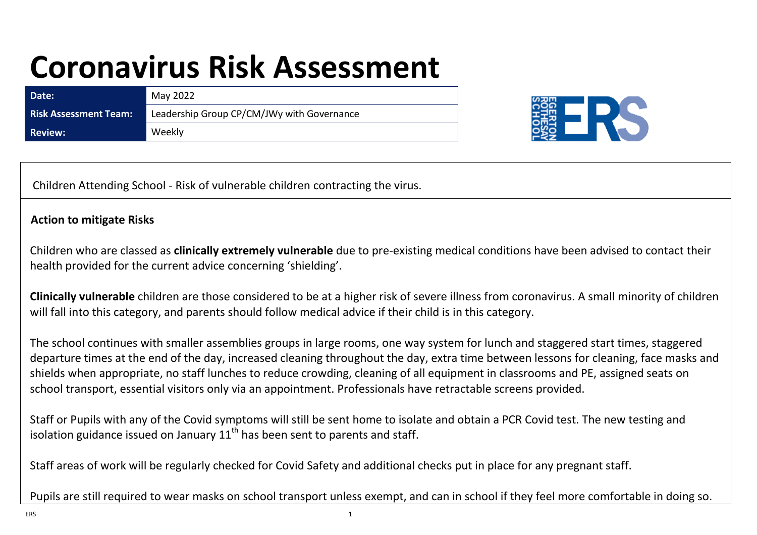## **Coronavirus Risk Assessment**

| Date:                        | May 2022                                   |
|------------------------------|--------------------------------------------|
| <b>Risk Assessment Team:</b> | Leadership Group CP/CM/JWy with Governance |
| Review: \                    | Weekly                                     |



Children Attending School - Risk of vulnerable children contracting the virus.

## **Action to mitigate Risks**

Children who are classed as **clinically extremely vulnerable** due to pre-existing medical conditions have been advised to contact their health provided for the current advice concerning 'shielding'.

**Clinically vulnerable** children are those considered to be at a higher risk of severe illness from coronavirus. A small minority of children will fall into this category, and parents should follow medical advice if their child is in this category.

The school continues with smaller assemblies groups in large rooms, one way system for lunch and staggered start times, staggered departure times at the end of the day, increased cleaning throughout the day, extra time between lessons for cleaning, face masks and shields when appropriate, no staff lunches to reduce crowding, cleaning of all equipment in classrooms and PE, assigned seats on school transport, essential visitors only via an appointment. Professionals have retractable screens provided.

Staff or Pupils with any of the Covid symptoms will still be sent home to isolate and obtain a PCR Covid test. The new testing and isolation guidance issued on January  $11<sup>th</sup>$  has been sent to parents and staff.

Staff areas of work will be regularly checked for Covid Safety and additional checks put in place for any pregnant staff.

Pupils are still required to wear masks on school transport unless exempt, and can in school if they feel more comfortable in doing so.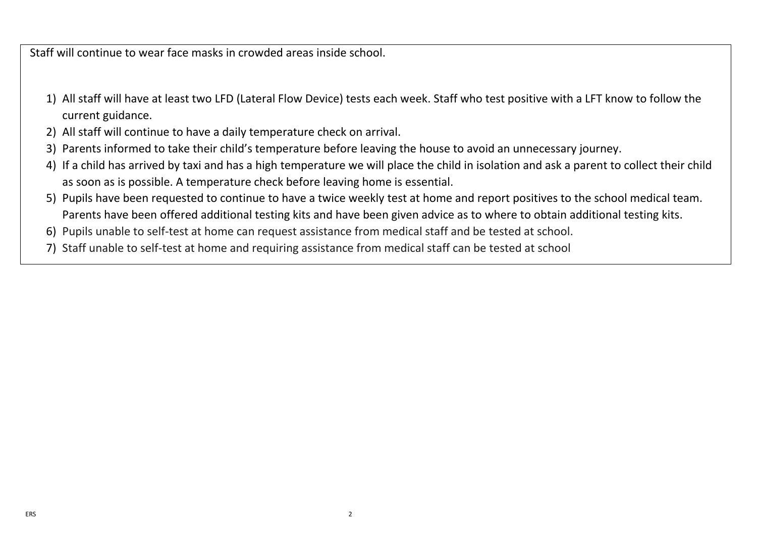Staff will continue to wear face masks in crowded areas inside school.

- 1) All staff will have at least two LFD (Lateral Flow Device) tests each week. Staff who test positive with a LFT know to follow the current guidance.
- 2) All staff will continue to have a daily temperature check on arrival.
- 3) Parents informed to take their child's temperature before leaving the house to avoid an unnecessary journey.
- 4) If a child has arrived by taxi and has a high temperature we will place the child in isolation and ask a parent to collect their child as soon as is possible. A temperature check before leaving home is essential.
- 5) Pupils have been requested to continue to have a twice weekly test at home and report positives to the school medical team. Parents have been offered additional testing kits and have been given advice as to where to obtain additional testing kits.
- 6) Pupils unable to self-test at home can request assistance from medical staff and be tested at school.
- 7) Staff unable to self-test at home and requiring assistance from medical staff can be tested at school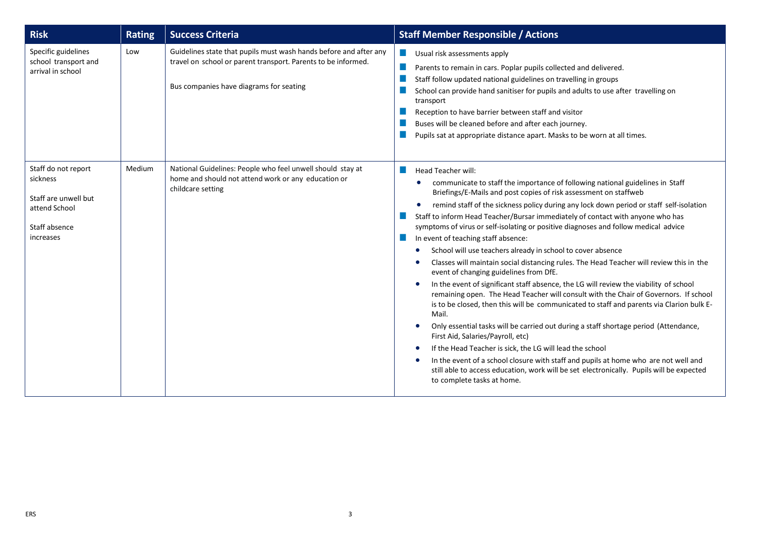| <b>Risk</b>                                                                                            | <b>Rating</b> | <b>Success Criteria</b>                                                                                                                                                       | <b>Staff Member Responsible / Actions</b>                                                                                                                                                                                                                                                                                                                                                                                                                                                                                                                                                                                                                                                                                                                                                                                                                                                                                                                                                                                                                                                                                                                                                                                                                                                                                                                                                                        |
|--------------------------------------------------------------------------------------------------------|---------------|-------------------------------------------------------------------------------------------------------------------------------------------------------------------------------|------------------------------------------------------------------------------------------------------------------------------------------------------------------------------------------------------------------------------------------------------------------------------------------------------------------------------------------------------------------------------------------------------------------------------------------------------------------------------------------------------------------------------------------------------------------------------------------------------------------------------------------------------------------------------------------------------------------------------------------------------------------------------------------------------------------------------------------------------------------------------------------------------------------------------------------------------------------------------------------------------------------------------------------------------------------------------------------------------------------------------------------------------------------------------------------------------------------------------------------------------------------------------------------------------------------------------------------------------------------------------------------------------------------|
| Specific guidelines<br>school transport and<br>arrival in school                                       | Low           | Guidelines state that pupils must wash hands before and after any<br>travel on school or parent transport. Parents to be informed.<br>Bus companies have diagrams for seating | Usual risk assessments apply<br>Parents to remain in cars. Poplar pupils collected and delivered.<br>Staff follow updated national guidelines on travelling in groups<br>School can provide hand sanitiser for pupils and adults to use after travelling on<br>transport<br>Reception to have barrier between staff and visitor<br>Buses will be cleaned before and after each journey.<br>Pupils sat at appropriate distance apart. Masks to be worn at all times.                                                                                                                                                                                                                                                                                                                                                                                                                                                                                                                                                                                                                                                                                                                                                                                                                                                                                                                                              |
| Staff do not report<br>sickness<br>Staff are unwell but<br>attend School<br>Staff absence<br>increases | Medium        | National Guidelines: People who feel unwell should stay at<br>home and should not attend work or any education or<br>childcare setting                                        | Head Teacher will:<br>communicate to staff the importance of following national guidelines in Staff<br>$\bullet$<br>Briefings/E-Mails and post copies of risk assessment on staffweb<br>remind staff of the sickness policy during any lock down period or staff self-isolation<br>Staff to inform Head Teacher/Bursar immediately of contact with anyone who has<br>symptoms of virus or self-isolating or positive diagnoses and follow medical advice<br>In event of teaching staff absence:<br>School will use teachers already in school to cover absence<br>$\bullet$<br>Classes will maintain social distancing rules. The Head Teacher will review this in the<br>event of changing guidelines from DfE.<br>In the event of significant staff absence, the LG will review the viability of school<br>remaining open. The Head Teacher will consult with the Chair of Governors. If school<br>is to be closed, then this will be communicated to staff and parents via Clarion bulk E-<br>Mail.<br>Only essential tasks will be carried out during a staff shortage period (Attendance,<br>First Aid, Salaries/Payroll, etc)<br>If the Head Teacher is sick, the LG will lead the school<br>In the event of a school closure with staff and pupils at home who are not well and<br>still able to access education, work will be set electronically. Pupils will be expected<br>to complete tasks at home. |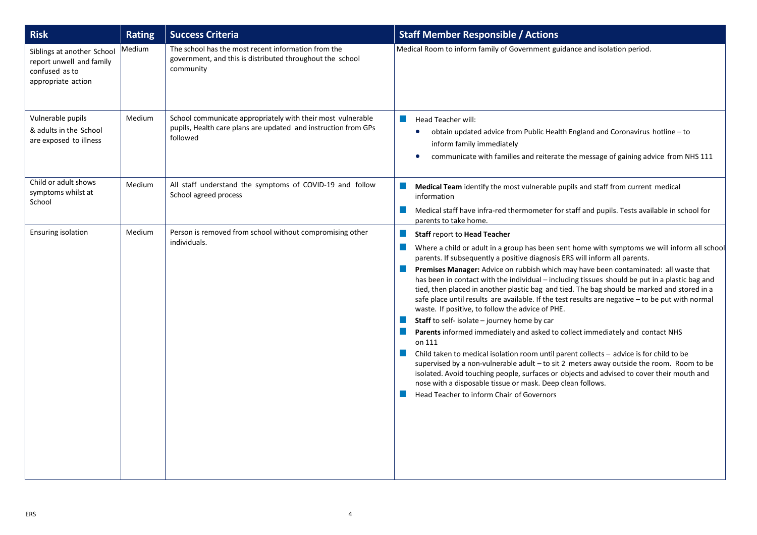| <b>Risk</b>                                                                                    | <b>Rating</b> | <b>Success Criteria</b>                                                                                                                   | <b>Staff Member Responsible / Actions</b>                                                                                                                                                                                                                                                                                                                                                                                                                                                                                                                                                                                                                                                                                                                                                                                                                                                                                                                                                                                                                                                                                                                                                                                   |
|------------------------------------------------------------------------------------------------|---------------|-------------------------------------------------------------------------------------------------------------------------------------------|-----------------------------------------------------------------------------------------------------------------------------------------------------------------------------------------------------------------------------------------------------------------------------------------------------------------------------------------------------------------------------------------------------------------------------------------------------------------------------------------------------------------------------------------------------------------------------------------------------------------------------------------------------------------------------------------------------------------------------------------------------------------------------------------------------------------------------------------------------------------------------------------------------------------------------------------------------------------------------------------------------------------------------------------------------------------------------------------------------------------------------------------------------------------------------------------------------------------------------|
| Siblings at another School<br>report unwell and family<br>confused as to<br>appropriate action | Medium        | The school has the most recent information from the<br>government, and this is distributed throughout the school<br>community             | Medical Room to inform family of Government guidance and isolation period.                                                                                                                                                                                                                                                                                                                                                                                                                                                                                                                                                                                                                                                                                                                                                                                                                                                                                                                                                                                                                                                                                                                                                  |
| Vulnerable pupils<br>& adults in the School<br>are exposed to illness                          | Medium        | School communicate appropriately with their most vulnerable<br>pupils, Health care plans are updated and instruction from GPs<br>followed | Head Teacher will:<br>obtain updated advice from Public Health England and Coronavirus hotline – to<br>$\bullet$<br>inform family immediately<br>communicate with families and reiterate the message of gaining advice from NHS 111                                                                                                                                                                                                                                                                                                                                                                                                                                                                                                                                                                                                                                                                                                                                                                                                                                                                                                                                                                                         |
| Child or adult shows<br>symptoms whilst at<br>School                                           | Medium        | All staff understand the symptoms of COVID-19 and follow<br>School agreed process                                                         | Medical Team identify the most vulnerable pupils and staff from current medical<br>a.<br>information<br><b>COL</b><br>Medical staff have infra-red thermometer for staff and pupils. Tests available in school for<br>parents to take home.                                                                                                                                                                                                                                                                                                                                                                                                                                                                                                                                                                                                                                                                                                                                                                                                                                                                                                                                                                                 |
| <b>Ensuring isolation</b>                                                                      | Medium        | Person is removed from school without compromising other<br>individuals.                                                                  | <b>Staff report to Head Teacher</b><br>Where a child or adult in a group has been sent home with symptoms we will inform all school<br>parents. If subsequently a positive diagnosis ERS will inform all parents.<br>Premises Manager: Advice on rubbish which may have been contaminated: all waste that<br>. .<br>has been in contact with the individual - including tissues should be put in a plastic bag and<br>tied, then placed in another plastic bag and tied. The bag should be marked and stored in a<br>safe place until results are available. If the test results are negative - to be put with normal<br>waste. If positive, to follow the advice of PHE.<br>Staff to self- isolate - journey home by car<br>Parents informed immediately and asked to collect immediately and contact NHS<br>on 111<br>Child taken to medical isolation room until parent collects - advice is for child to be<br>a se<br>supervised by a non-vulnerable adult - to sit 2 meters away outside the room. Room to be<br>isolated. Avoid touching people, surfaces or objects and advised to cover their mouth and<br>nose with a disposable tissue or mask. Deep clean follows.<br>Head Teacher to inform Chair of Governors |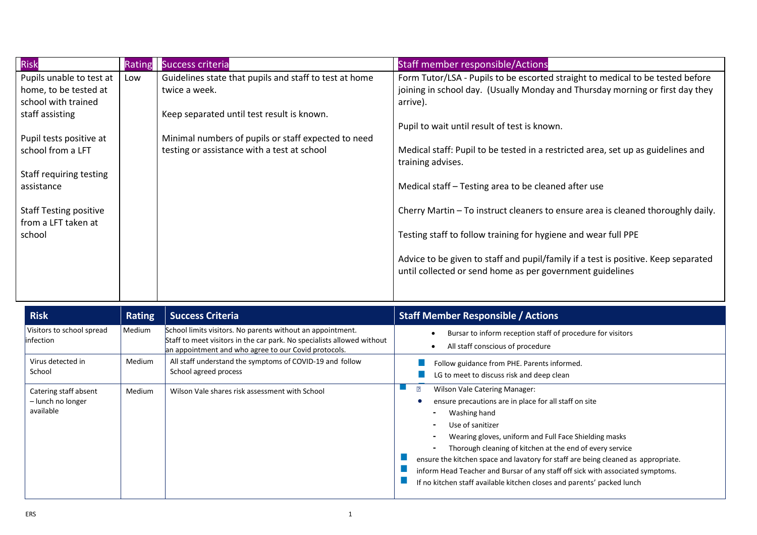| <b>Risk</b>                                                                                                                                   | Rating | <b>Success criteria</b>                                                                            | <b>Staff member responsible/Actions</b>                                                                                                                                                                                                                                                                             |
|-----------------------------------------------------------------------------------------------------------------------------------------------|--------|----------------------------------------------------------------------------------------------------|---------------------------------------------------------------------------------------------------------------------------------------------------------------------------------------------------------------------------------------------------------------------------------------------------------------------|
| Pupils unable to test at                                                                                                                      | Low    | Guidelines state that pupils and staff to test at home                                             | Form Tutor/LSA - Pupils to be escorted straight to medical to be tested before                                                                                                                                                                                                                                      |
| home, to be tested at                                                                                                                         |        | twice a week.                                                                                      | joining in school day. (Usually Monday and Thursday morning or first day they                                                                                                                                                                                                                                       |
| school with trained                                                                                                                           |        |                                                                                                    | arrive).                                                                                                                                                                                                                                                                                                            |
| staff assisting                                                                                                                               |        | Keep separated until test result is known.                                                         |                                                                                                                                                                                                                                                                                                                     |
|                                                                                                                                               |        |                                                                                                    | Pupil to wait until result of test is known.                                                                                                                                                                                                                                                                        |
|                                                                                                                                               |        |                                                                                                    |                                                                                                                                                                                                                                                                                                                     |
|                                                                                                                                               |        |                                                                                                    |                                                                                                                                                                                                                                                                                                                     |
|                                                                                                                                               |        |                                                                                                    |                                                                                                                                                                                                                                                                                                                     |
|                                                                                                                                               |        |                                                                                                    |                                                                                                                                                                                                                                                                                                                     |
|                                                                                                                                               |        |                                                                                                    |                                                                                                                                                                                                                                                                                                                     |
|                                                                                                                                               |        |                                                                                                    |                                                                                                                                                                                                                                                                                                                     |
|                                                                                                                                               |        |                                                                                                    |                                                                                                                                                                                                                                                                                                                     |
| school                                                                                                                                        |        |                                                                                                    |                                                                                                                                                                                                                                                                                                                     |
|                                                                                                                                               |        |                                                                                                    |                                                                                                                                                                                                                                                                                                                     |
|                                                                                                                                               |        |                                                                                                    | Advice to be given to staff and pupil/family if a test is positive. Keep separated                                                                                                                                                                                                                                  |
|                                                                                                                                               |        |                                                                                                    | until collected or send home as per government guidelines                                                                                                                                                                                                                                                           |
|                                                                                                                                               |        |                                                                                                    |                                                                                                                                                                                                                                                                                                                     |
| Pupil tests positive at<br>school from a LFT<br>Staff requiring testing<br>assistance<br><b>Staff Testing positive</b><br>from a LFT taken at |        | Minimal numbers of pupils or staff expected to need<br>testing or assistance with a test at school | Medical staff: Pupil to be tested in a restricted area, set up as guidelines and<br>training advises.<br>Medical staff - Testing area to be cleaned after use<br>Cherry Martin - To instruct cleaners to ensure area is cleaned thoroughly daily.<br>Testing staff to follow training for hygiene and wear full PPE |

| <b>Risk</b>                                             | <b>Rating</b> | <b>Success Criteria</b>                                                                                                                                                                      | <b>Staff Member Responsible / Actions</b>                                                                                                                                                                                                                                                                                                                                                                                                                                                                                 |
|---------------------------------------------------------|---------------|----------------------------------------------------------------------------------------------------------------------------------------------------------------------------------------------|---------------------------------------------------------------------------------------------------------------------------------------------------------------------------------------------------------------------------------------------------------------------------------------------------------------------------------------------------------------------------------------------------------------------------------------------------------------------------------------------------------------------------|
| Visitors to school spread<br>linfection                 | Medium        | School limits visitors. No parents without an appointment.<br>Staff to meet visitors in the car park. No specialists allowed without<br>an appointment and who agree to our Covid protocols. | Bursar to inform reception staff of procedure for visitors<br>All staff conscious of procedure                                                                                                                                                                                                                                                                                                                                                                                                                            |
| Virus detected in<br>School                             | Medium        | All staff understand the symptoms of COVID-19 and follow<br>School agreed process                                                                                                            | Follow guidance from PHE. Parents informed.<br>LG to meet to discuss risk and deep clean                                                                                                                                                                                                                                                                                                                                                                                                                                  |
| Catering staff absent<br>- lunch no longer<br>available | Medium        | Wilson Vale shares risk assessment with School                                                                                                                                               | $\overline{?}$<br><b>Wilson Vale Catering Manager:</b><br>ensure precautions are in place for all staff on site<br>Washing hand<br>Use of sanitizer<br>Wearing gloves, uniform and Full Face Shielding masks<br>Thorough cleaning of kitchen at the end of every service<br>ensure the kitchen space and lavatory for staff are being cleaned as appropriate.<br>inform Head Teacher and Bursar of any staff off sick with associated symptoms.<br>If no kitchen staff available kitchen closes and parents' packed lunch |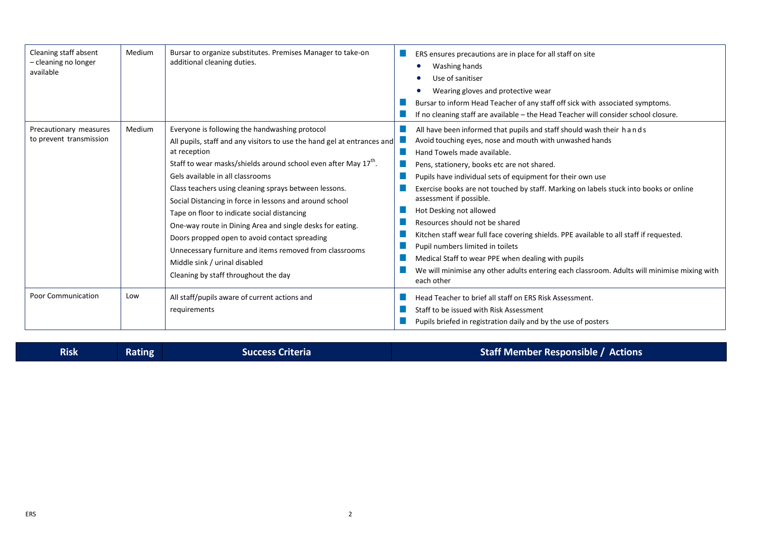| Cleaning staff absent<br>- cleaning no longer<br>available | Medium | Bursar to organize substitutes. Premises Manager to take-on<br>additional cleaning duties.                                                                                                                                                                                                                                                                                                                                                                                                                                                                                                                                                                                        | ERS ensures precautions are in place for all staff on site<br>Washing hands<br>Use of sanitiser<br>Wearing gloves and protective wear<br>Bursar to inform Head Teacher of any staff off sick with associated symptoms.<br>If no cleaning staff are available - the Head Teacher will consider school closure.                                                                                                                                                                                                                                                                                                                                                                                                                                                  |
|------------------------------------------------------------|--------|-----------------------------------------------------------------------------------------------------------------------------------------------------------------------------------------------------------------------------------------------------------------------------------------------------------------------------------------------------------------------------------------------------------------------------------------------------------------------------------------------------------------------------------------------------------------------------------------------------------------------------------------------------------------------------------|----------------------------------------------------------------------------------------------------------------------------------------------------------------------------------------------------------------------------------------------------------------------------------------------------------------------------------------------------------------------------------------------------------------------------------------------------------------------------------------------------------------------------------------------------------------------------------------------------------------------------------------------------------------------------------------------------------------------------------------------------------------|
| Precautionary measures<br>to prevent transmission          | Medium | Everyone is following the handwashing protocol<br>All pupils, staff and any visitors to use the hand gel at entrances and<br>at reception<br>Staff to wear masks/shields around school even after May 17 <sup>th</sup> .<br>Gels available in all classrooms<br>Class teachers using cleaning sprays between lessons.<br>Social Distancing in force in lessons and around school<br>Tape on floor to indicate social distancing<br>One-way route in Dining Area and single desks for eating.<br>Doors propped open to avoid contact spreading<br>Unnecessary furniture and items removed from classrooms<br>Middle sink / urinal disabled<br>Cleaning by staff throughout the day | All have been informed that pupils and staff should wash their hands<br>Avoid touching eyes, nose and mouth with unwashed hands<br>Hand Towels made available.<br>Pens, stationery, books etc are not shared.<br>Pupils have individual sets of equipment for their own use<br>Exercise books are not touched by staff. Marking on labels stuck into books or online<br>assessment if possible.<br>Hot Desking not allowed<br>Resources should not be shared<br>Kitchen staff wear full face covering shields. PPE available to all staff if requested.<br>Pupil numbers limited in toilets<br>Medical Staff to wear PPE when dealing with pupils<br>We will minimise any other adults entering each classroom. Adults will minimise mixing with<br>each other |
| <b>Poor Communication</b>                                  | Low    | All staff/pupils aware of current actions and<br>requirements                                                                                                                                                                                                                                                                                                                                                                                                                                                                                                                                                                                                                     | Head Teacher to brief all staff on ERS Risk Assessment.<br>Staff to be issued with Risk Assessment<br>Pupils briefed in registration daily and by the use of posters                                                                                                                                                                                                                                                                                                                                                                                                                                                                                                                                                                                           |

|  | <b>Risk</b> | Rating | <b>Success Criteria</b> | Staff Member Responsible / Actions |
|--|-------------|--------|-------------------------|------------------------------------|
|--|-------------|--------|-------------------------|------------------------------------|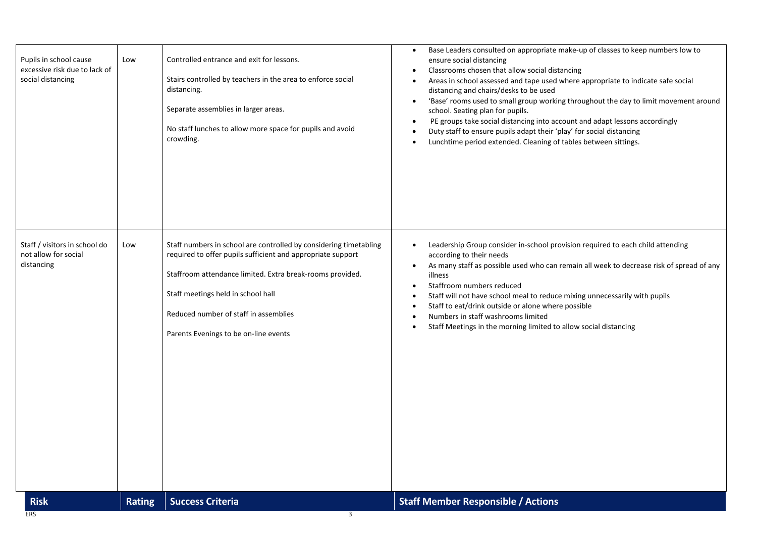| <b>Risk</b><br><b>ERS</b>                                                    | <b>Rating</b> | <b>Success Criteria</b><br>3                                                                                                                                                                                                                                                                                          | <b>Staff Member Responsible / Actions</b>                                                                                                                                                                                                                                                                                                                                                                                                                                                                                                                                                                                                                           |
|------------------------------------------------------------------------------|---------------|-----------------------------------------------------------------------------------------------------------------------------------------------------------------------------------------------------------------------------------------------------------------------------------------------------------------------|---------------------------------------------------------------------------------------------------------------------------------------------------------------------------------------------------------------------------------------------------------------------------------------------------------------------------------------------------------------------------------------------------------------------------------------------------------------------------------------------------------------------------------------------------------------------------------------------------------------------------------------------------------------------|
| Staff / visitors in school do<br>not allow for social<br>distancing          | Low           | Staff numbers in school are controlled by considering timetabling<br>required to offer pupils sufficient and appropriate support<br>Staffroom attendance limited. Extra break-rooms provided.<br>Staff meetings held in school hall<br>Reduced number of staff in assemblies<br>Parents Evenings to be on-line events | Leadership Group consider in-school provision required to each child attending<br>according to their needs<br>As many staff as possible used who can remain all week to decrease risk of spread of any<br>illness<br>Staffroom numbers reduced<br>٠<br>Staff will not have school meal to reduce mixing unnecessarily with pupils<br>Staff to eat/drink outside or alone where possible<br>Numbers in staff washrooms limited<br>Staff Meetings in the morning limited to allow social distancing                                                                                                                                                                   |
| Pupils in school cause<br>excessive risk due to lack of<br>social distancing | Low           | Controlled entrance and exit for lessons.<br>Stairs controlled by teachers in the area to enforce social<br>distancing.<br>Separate assemblies in larger areas.<br>No staff lunches to allow more space for pupils and avoid<br>crowding.                                                                             | Base Leaders consulted on appropriate make-up of classes to keep numbers low to<br>ensure social distancing<br>Classrooms chosen that allow social distancing<br>Areas in school assessed and tape used where appropriate to indicate safe social<br>distancing and chairs/desks to be used<br>'Base' rooms used to small group working throughout the day to limit movement around<br>$\bullet$<br>school. Seating plan for pupils.<br>PE groups take social distancing into account and adapt lessons accordingly<br>٠<br>Duty staff to ensure pupils adapt their 'play' for social distancing<br>Lunchtime period extended. Cleaning of tables between sittings. |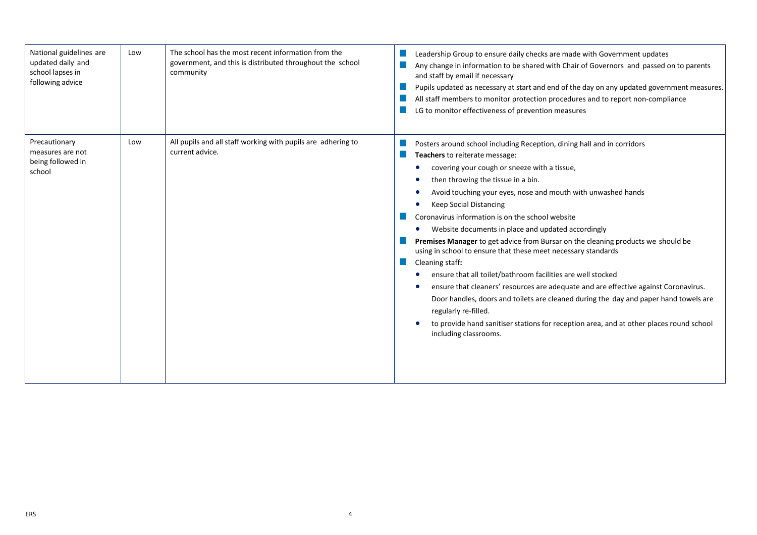| National guidelines are<br>updated daily and<br>school lapses in<br>following advice | Low | The school has the most recent information from the<br>government, and this is distributed throughout the school<br>community | Leadership Group to ensure daily checks are made with Government updates<br>Any change in information to be shared with Chair of Governors and passed on to parents<br>and staff by email if necessary<br>Pupils updated as necessary at start and end of the day on any updated government measures.<br>All staff members to monitor protection procedures and to report non-compliance<br>LG to monitor effectiveness of prevention measures                                                                                                                                                                                                                                                                                                                                                                                                                                                                                                                               |
|--------------------------------------------------------------------------------------|-----|-------------------------------------------------------------------------------------------------------------------------------|------------------------------------------------------------------------------------------------------------------------------------------------------------------------------------------------------------------------------------------------------------------------------------------------------------------------------------------------------------------------------------------------------------------------------------------------------------------------------------------------------------------------------------------------------------------------------------------------------------------------------------------------------------------------------------------------------------------------------------------------------------------------------------------------------------------------------------------------------------------------------------------------------------------------------------------------------------------------------|
| Precautionary<br>measures are not<br>being followed in<br>school                     | Low | All pupils and all staff working with pupils are adhering to<br>current advice.                                               | Posters around school including Reception, dining hall and in corridors<br>Teachers to reiterate message:<br>covering your cough or sneeze with a tissue,<br>then throwing the tissue in a bin.<br>Avoid touching your eyes, nose and mouth with unwashed hands<br><b>Keep Social Distancing</b><br>Coronavirus information is on the school website<br>Website documents in place and updated accordingly<br>Premises Manager to get advice from Bursar on the cleaning products we should be<br>using in school to ensure that these meet necessary standards<br>Cleaning staff:<br>ensure that all toilet/bathroom facilities are well stocked<br>ensure that cleaners' resources are adequate and are effective against Coronavirus.<br>Door handles, doors and toilets are cleaned during the day and paper hand towels are<br>regularly re-filled.<br>to provide hand sanitiser stations for reception area, and at other places round school<br>including classrooms. |